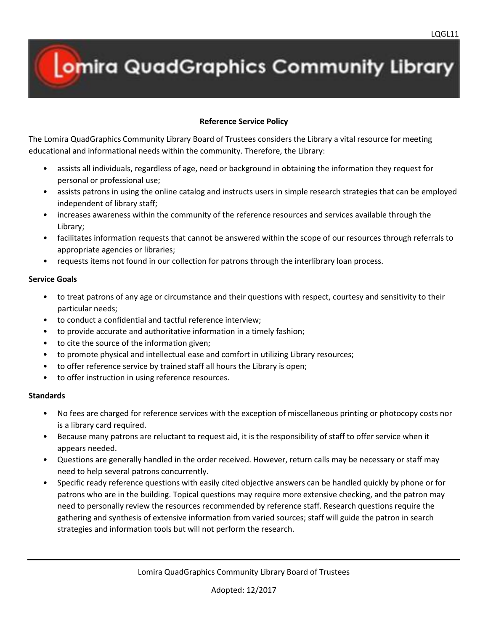## **Omira QuadGraphics Community Library**

## **Reference Service Policy**

The Lomira QuadGraphics Community Library Board of Trustees considers the Library a vital resource for meeting educational and informational needs within the community. Therefore, the Library:

- assists all individuals, regardless of age, need or background in obtaining the information they request for personal or professional use;
- assists patrons in using the online catalog and instructs users in simple research strategies that can be employed independent of library staff;
- increases awareness within the community of the reference resources and services available through the Library;
- facilitates information requests that cannot be answered within the scope of our resources through referrals to appropriate agencies or libraries;
- requests items not found in our collection for patrons through the interlibrary loan process.

## **Service Goals**

- to treat patrons of any age or circumstance and their questions with respect, courtesy and sensitivity to their particular needs;
- to conduct a confidential and tactful reference interview;
- to provide accurate and authoritative information in a timely fashion;
- to cite the source of the information given;
- to promote physical and intellectual ease and comfort in utilizing Library resources;
- to offer reference service by trained staff all hours the Library is open;
- to offer instruction in using reference resources.

## **Standards**

- No fees are charged for reference services with the exception of miscellaneous printing or photocopy costs nor is a library card required.
- Because many patrons are reluctant to request aid, it is the responsibility of staff to offer service when it appears needed.
- Questions are generally handled in the order received. However, return calls may be necessary or staff may need to help several patrons concurrently.
- Specific ready reference questions with easily cited objective answers can be handled quickly by phone or for patrons who are in the building. Topical questions may require more extensive checking, and the patron may need to personally review the resources recommended by reference staff. Research questions require the gathering and synthesis of extensive information from varied sources; staff will guide the patron in search strategies and information tools but will not perform the research.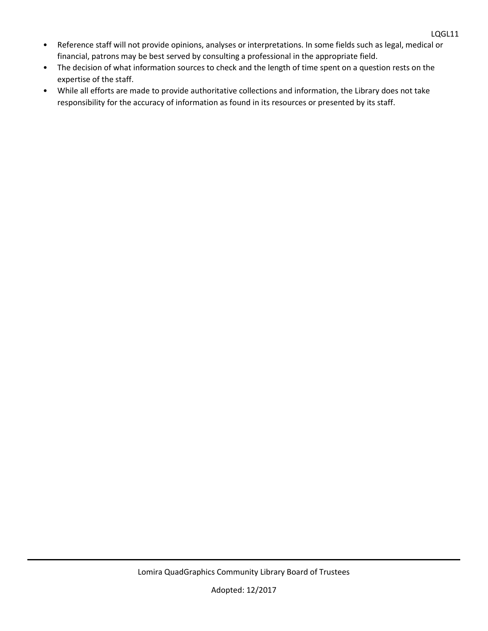- Reference staff will not provide opinions, analyses or interpretations. In some fields such as legal, medical or financial, patrons may be best served by consulting a professional in the appropriate field.
- The decision of what information sources to check and the length of time spent on a question rests on the expertise of the staff.
- While all efforts are made to provide authoritative collections and information, the Library does not take responsibility for the accuracy of information as found in its resources or presented by its staff.